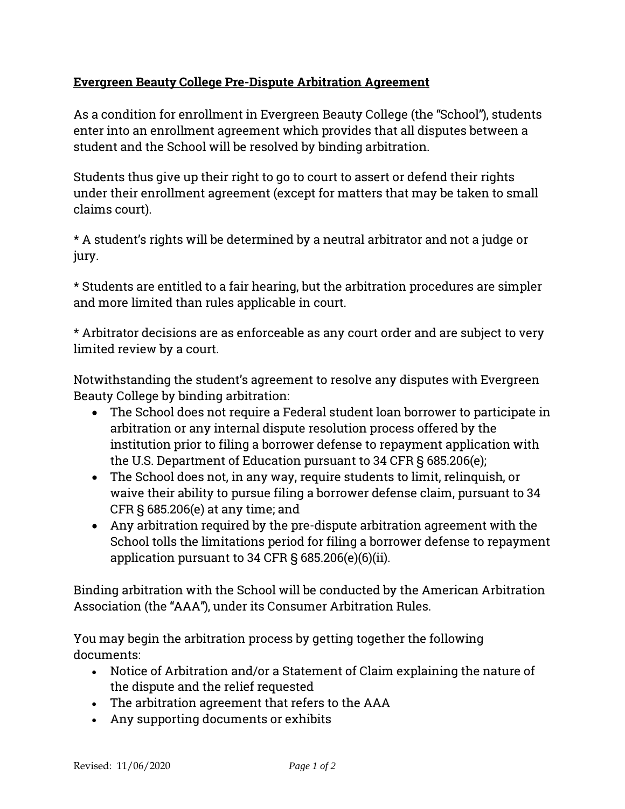## **Evergreen Beauty College Pre-Dispute Arbitration Agreement**

As a condition for enrollment in Evergreen Beauty College (the "School"), students enter into an enrollment agreement which provides that all disputes between a student and the School will be resolved by binding arbitration.

Students thus give up their right to go to court to assert or defend their rights under their enrollment agreement (except for matters that may be taken to small claims court).

\* A student's rights will be determined by a neutral arbitrator and not a judge or jury.

\* Students are entitled to a fair hearing, but the arbitration procedures are simpler and more limited than rules applicable in court.

\* Arbitrator decisions are as enforceable as any court order and are subject to very limited review by a court.

Notwithstanding the student's agreement to resolve any disputes with Evergreen Beauty College by binding arbitration:

- The School does not require a Federal student loan borrower to participate in arbitration or any internal dispute resolution process offered by the institution prior to filing a borrower defense to repayment application with the U.S. Department of Education pursuant to 34 CFR § 685.206(e);
- The School does not, in any way, require students to limit, relinquish, or waive their ability to pursue filing a borrower defense claim, pursuant to 34 CFR § 685.206(e) at any time; and
- Any arbitration required by the pre-dispute arbitration agreement with the School tolls the limitations period for filing a borrower defense to repayment application pursuant to 34 CFR § 685.206(e)(6)(ii).

Binding arbitration with the School will be conducted by the American Arbitration Association (the "AAA"), under its Consumer Arbitration Rules.

You may begin the arbitration process by getting together the following documents:

- Notice of Arbitration and/or a Statement of Claim explaining the nature of the dispute and the relief requested
- The arbitration agreement that refers to the AAA
- Any supporting documents or exhibits